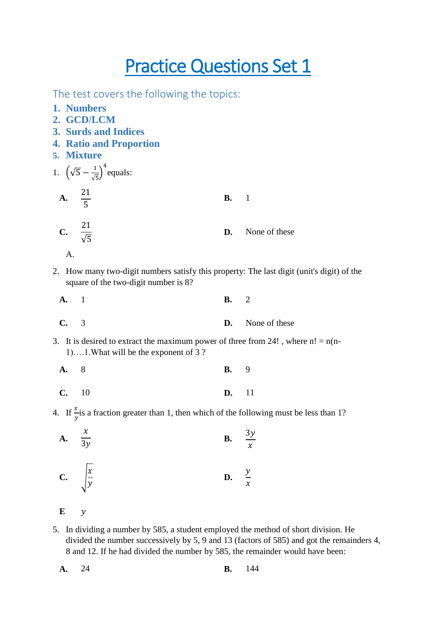## **Practice Questions Set 1**

The test covers the following the topics:

- **1. Numbers**
- **2. GCD/LCM**
- **3. Surds and Indices**
- **4. Ratio and Proportion**
- **5. Mixture**

1. 
$$
(\sqrt{5} - \frac{1}{\sqrt{5}})^4
$$
 equals:  
\n**A.**  $\frac{21}{5}$  **B.** 1  
\n**C.**  $\frac{21}{\sqrt{5}}$  **D.** None of these

$$
\mathbf{A}.
$$

2. How many two-digit numbers satisfy this property: The last digit (unit's digit) of the square of the two-digit number is 8?

| A. 1 | <b>B.</b> 2 |                         |
|------|-------------|-------------------------|
| C. 3 |             | <b>D.</b> None of these |

- 3. It is desired to extract the maximum power of three from 24!, where  $n! = n(n-1)$ 1)….1.What will be the exponent of 3 ?
	- **[A.](javascript:%20void%200;)** 8 **[B.](javascript:%20void%200;)** 9 **[C.](javascript:%20void%200;)** 10 **[D.](javascript:%20void%200;)** 11
- 4. If  $\frac{x}{y}$  is a fraction greater than 1, then which of the following must be less than 1?

A. 
$$
\frac{x}{3y}
$$
  
B.  $\frac{3y}{x}$   
C.  $\sqrt{\frac{x}{y}}$   
D.  $\frac{y}{x}$ 

**E**

5. In dividing a number by 585, a student employed the method of short division. He divided the number successively by 5, 9 and 13 (factors of 585) and got the remainders 4, 8 and 12. If he had divided the number by 585, the remainder would have been:

| A. 24 |  | <b>B.</b> 144 |
|-------|--|---------------|
|       |  |               |